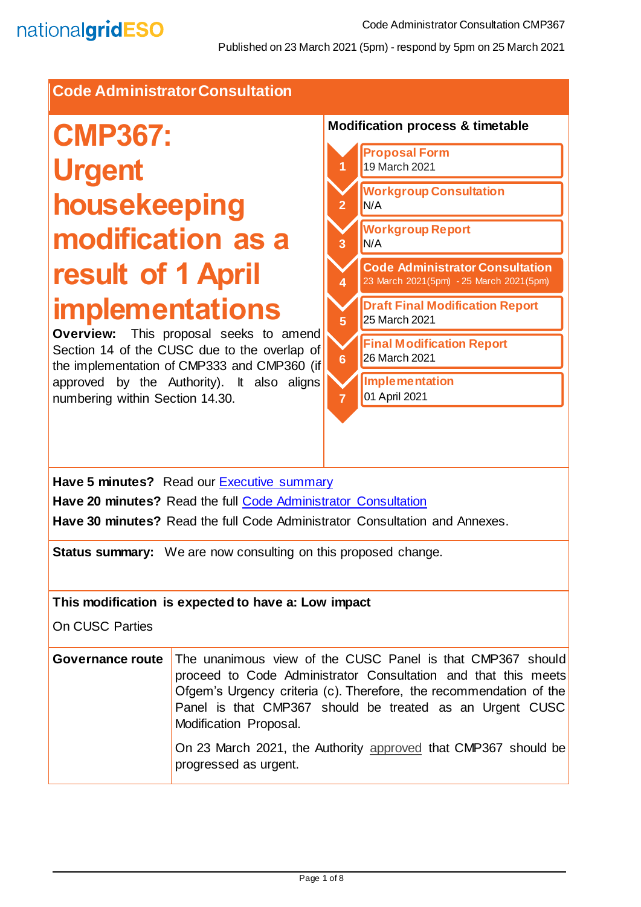### **Code Administrator Consultation**

# **CMP367: Urgent housekeeping modification as a result of 1 April implementations**

**Overview:** This proposal seeks to amend Section 14 of the CUSC due to the overlap of the implementation of CMP333 and CMP360 (if approved by the Authority). It also aligns numbering within Section 14.30.



**Have 5 minutes?** Read our Executive summary **Have 20 minutes?** Read the full [Code Administrator Consultation](#page-6-0) **Have 30 minutes?** Read the full Code Administrator Consultation and Annexes.

**Status summary:** We are now consulting on this proposed change.

#### **This modification is expected to have a: Low impact**

On CUSC Parties

| <b>Governance route</b> The unanimous view of the CUSC Panel is that CMP367 should<br>proceed to Code Administrator Consultation and that this meets<br>Ofgem's Urgency criteria (c). Therefore, the recommendation of the<br>Panel is that CMP367 should be treated as an Urgent CUSC<br>Modification Proposal. |
|------------------------------------------------------------------------------------------------------------------------------------------------------------------------------------------------------------------------------------------------------------------------------------------------------------------|
| On 23 March 2021, the Authority approved that CMP367 should be<br>progressed as urgent.                                                                                                                                                                                                                          |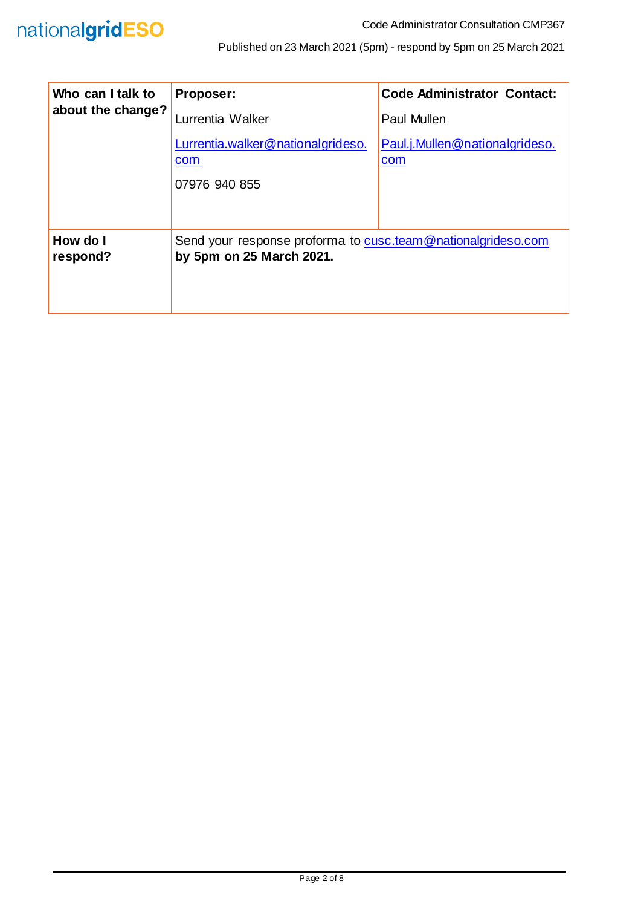

| Who can I talk to<br>about the change? | Proposer:                                                                                | <b>Code Administrator Contact:</b>    |
|----------------------------------------|------------------------------------------------------------------------------------------|---------------------------------------|
|                                        | Lurrentia Walker                                                                         | Paul Mullen                           |
|                                        | Lurrentia.walker@nationalgrideso.<br>com<br>07976 940 855                                | Paul.j.Mullen@nationalgrideso.<br>com |
|                                        |                                                                                          |                                       |
| How do I<br>respond?                   | Send your response proforma to cusc.team@nationalgrideso.com<br>by 5pm on 25 March 2021. |                                       |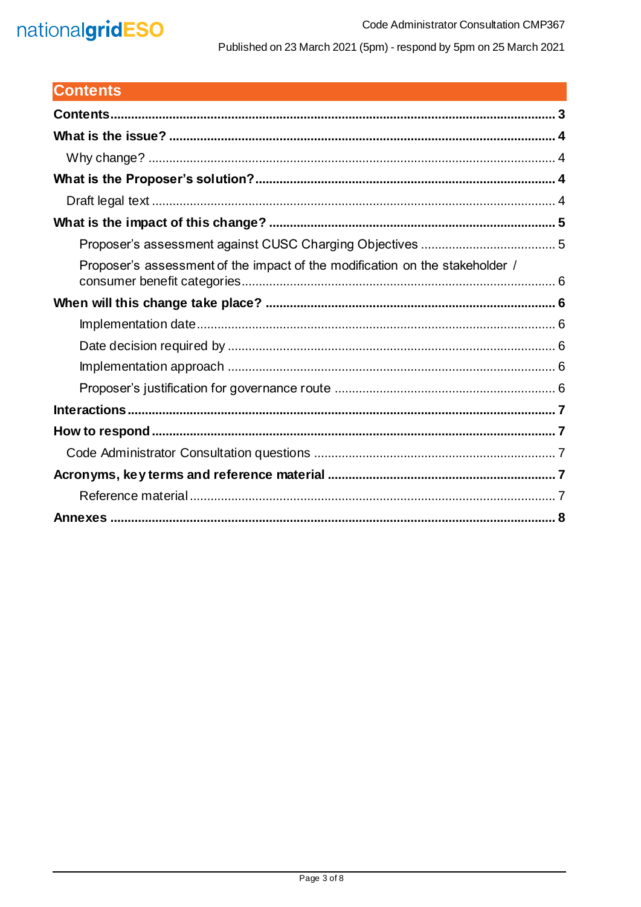## nationalgridESO

Published on 23 March 2021 (5pm) - respond by 5pm on 25 March 2021

## <span id="page-2-0"></span>**Contents**

| Proposer's assessment of the impact of the modification on the stakeholder / |
|------------------------------------------------------------------------------|
|                                                                              |
|                                                                              |
|                                                                              |
|                                                                              |
|                                                                              |
|                                                                              |
|                                                                              |
|                                                                              |
|                                                                              |
|                                                                              |
|                                                                              |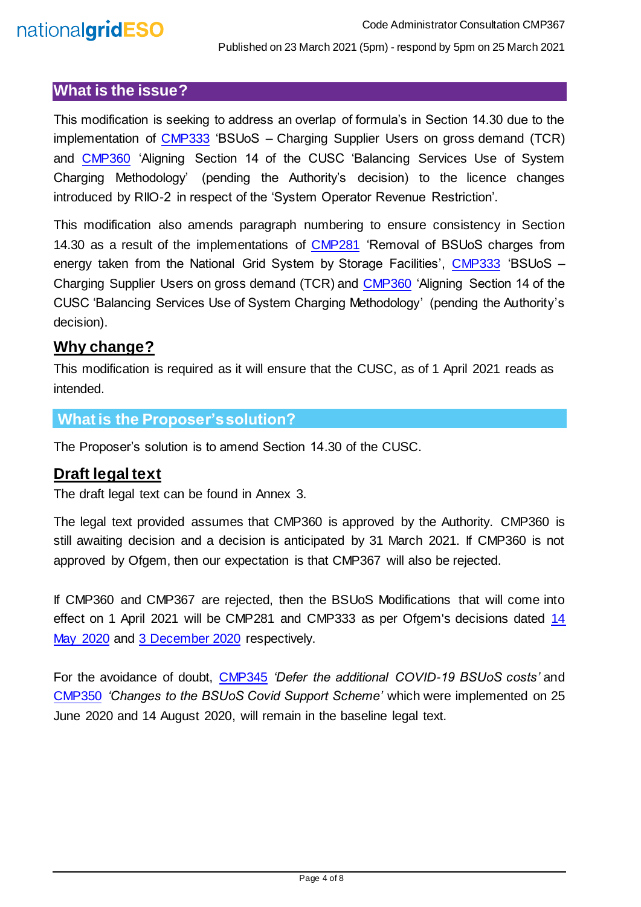#### <span id="page-3-0"></span>**What is the issue?**

This modification is seeking to address an overlap of formula's in Section 14.30 due to the implementation of [CMP333](https://www.nationalgrideso.com/industry-information/codes/connection-and-use-system-code-cusc-old/modifications/cmp333-bsuos) 'BSUoS – Charging Supplier Users on gross demand (TCR) and [CMP360](https://www.nationalgrideso.com/industry-information/codes/connection-and-use-system-code-cusc-old/modifications/cmp360-aligning) 'Aligning Section 14 of the CUSC 'Balancing Services Use of System Charging Methodology' (pending the Authority's decision) to the licence changes introduced by RIIO-2 in respect of the 'System Operator Revenue Restriction'.

This modification also amends paragraph numbering to ensure consistency in Section 14.30 as a result of the implementations of [CMP281](https://www.nationalgrideso.com/industry-information/codes/connection-and-use-system-code-cusc-old/modifications/cmp281-removal) 'Removal of BSUoS charges from energy taken from the National Grid System by Storage Facilities', [CMP333](https://www.nationalgrideso.com/industry-information/codes/connection-and-use-system-code-cusc-old/modifications/cmp333-bsuos) 'BSUoS – Charging Supplier Users on gross demand (TCR) and [CMP360](https://www.nationalgrideso.com/industry-information/codes/connection-and-use-system-code-cusc-old/modifications/cmp360-aligning) 'Aligning Section 14 of the CUSC 'Balancing Services Use of System Charging Methodology' (pending the Authority's decision).

#### <span id="page-3-1"></span>**Why change?**

This modification is required as it will ensure that the CUSC, as of 1 April 2021 reads as intended.

#### <span id="page-3-2"></span>**What is the Proposer's solution?**

The Proposer's solution is to amend Section 14.30 of the CUSC.

#### <span id="page-3-3"></span>**Draft legal text**

The draft legal text can be found in Annex 3.

The legal text provided assumes that CMP360 is approved by the Authority. CMP360 is still awaiting decision and a decision is anticipated by 31 March 2021. If CMP360 is not approved by Ofgem, then our expectation is that CMP367 will also be rejected.

If CMP360 and CMP367 are rejected, then the BSUoS Modifications that will come into effect on 1 April 2021 will be CMP281 and CMP333 as per Ofgem's decisions dated [14](https://www.nationalgrideso.com/document/169146/download)  [May 2020](https://www.nationalgrideso.com/document/169146/download) and [3 December 2020](https://www.nationalgrideso.com/document/182286/download) respectively.

For the avoidance of doubt, [CMP345](https://www.nationalgrideso.com/industry-information/codes/connection-and-use-system-code-cusc-old/modifications/cmp345-defer) *'Defer the additional COVID-19 BSUoS costs'* and [CMP350](https://www.nationalgrideso.com/industry-information/codes/connection-and-use-system-code-cusc-old/modifications/cmp350-changes) *'Changes to the BSUoS Covid Support Scheme'* which were implemented on 25 June 2020 and 14 August 2020, will remain in the baseline legal text.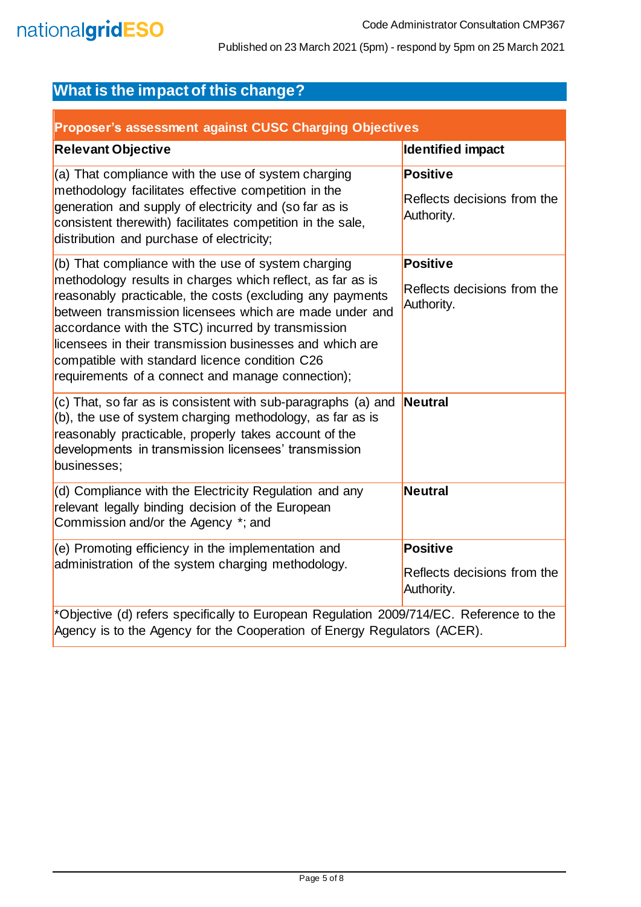## <span id="page-4-0"></span>**What is the impact of this change?**

<span id="page-4-1"></span>

| Proposer's assessment against CUSC Charging Objectives                                                                                                                                                                                                                                                                                                                                                                                                            |                                                              |  |
|-------------------------------------------------------------------------------------------------------------------------------------------------------------------------------------------------------------------------------------------------------------------------------------------------------------------------------------------------------------------------------------------------------------------------------------------------------------------|--------------------------------------------------------------|--|
| <b>Relevant Objective</b>                                                                                                                                                                                                                                                                                                                                                                                                                                         | Identified impact                                            |  |
| (a) That compliance with the use of system charging<br>methodology facilitates effective competition in the<br>generation and supply of electricity and (so far as is<br>consistent therewith) facilitates competition in the sale,<br>distribution and purchase of electricity;                                                                                                                                                                                  | <b>Positive</b><br>Reflects decisions from the<br>Authority. |  |
| (b) That compliance with the use of system charging<br>methodology results in charges which reflect, as far as is<br>reasonably practicable, the costs (excluding any payments<br>between transmission licensees which are made under and<br>accordance with the STC) incurred by transmission<br>licensees in their transmission businesses and which are<br>compatible with standard licence condition C26<br>requirements of a connect and manage connection); | Positive<br>Reflects decisions from the<br>Authority.        |  |
| $(c)$ That, so far as is consistent with sub-paragraphs (a) and<br>(b), the use of system charging methodology, as far as is<br>reasonably practicable, properly takes account of the<br>developments in transmission licensees' transmission<br>businesses;                                                                                                                                                                                                      | Neutral                                                      |  |
| (d) Compliance with the Electricity Regulation and any<br>relevant legally binding decision of the European<br>Commission and/or the Agency *; and                                                                                                                                                                                                                                                                                                                | Neutral                                                      |  |
| (e) Promoting efficiency in the implementation and<br>administration of the system charging methodology.                                                                                                                                                                                                                                                                                                                                                          | Positive<br>Reflects decisions from the<br>Authority.        |  |
| *Objective (d) refers specifically to European Regulation 2009/714/EC. Reference to the<br>Agency is to the Agency for the Cooperation of Energy Regulators (ACER).                                                                                                                                                                                                                                                                                               |                                                              |  |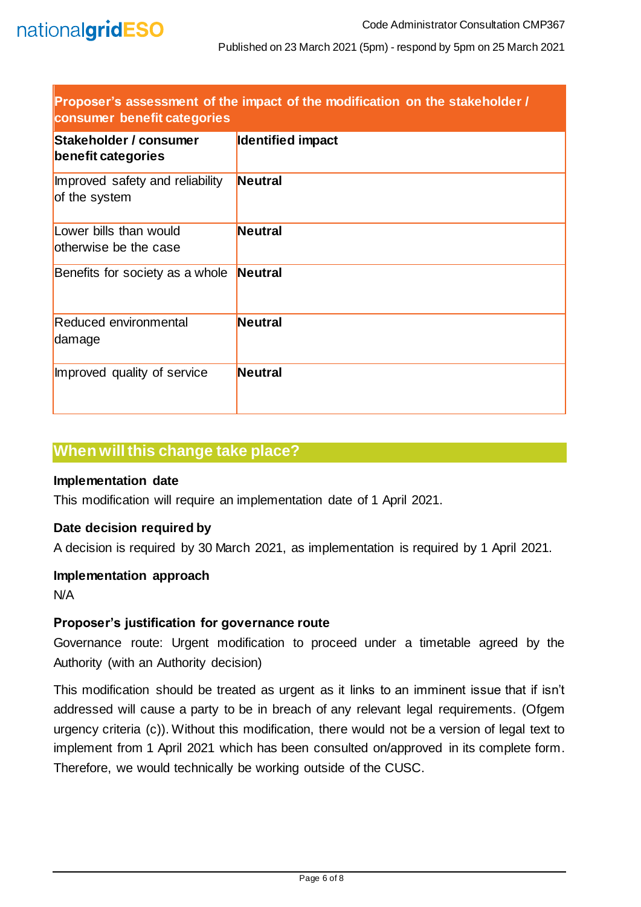<span id="page-5-0"></span>

| Proposer's assessment of the impact of the modification on the stakeholder /<br>consumer benefit categories |                          |
|-------------------------------------------------------------------------------------------------------------|--------------------------|
| Stakeholder / consumer<br>benefit categories                                                                | <b>Identified impact</b> |
| Improved safety and reliability<br>of the system                                                            | <b>Neutral</b>           |
| Lower bills than would<br>otherwise be the case                                                             | <b>Neutral</b>           |
| Benefits for society as a whole                                                                             | Neutral                  |
| Reduced environmental<br>damage                                                                             | <b>Neutral</b>           |
| Improved quality of service                                                                                 | <b>Neutral</b>           |

## <span id="page-5-1"></span>**When will this change take place?**

#### <span id="page-5-2"></span>**Implementation date**

This modification will require an implementation date of 1 April 2021.

#### <span id="page-5-3"></span>**Date decision required by**

A decision is required by 30 March 2021, as implementation is required by 1 April 2021.

#### <span id="page-5-4"></span>**Implementation approach**

N/A

#### <span id="page-5-5"></span>**Proposer's justification for governance route**

Governance route: Urgent modification to proceed under a timetable agreed by the Authority (with an Authority decision)

This modification should be treated as urgent as it links to an imminent issue that if isn't addressed will cause a party to be in breach of any relevant legal requirements. (Ofgem urgency criteria (c)). Without this modification, there would not be a version of legal text to implement from 1 April 2021 which has been consulted on/approved in its complete form. Therefore, we would technically be working outside of the CUSC.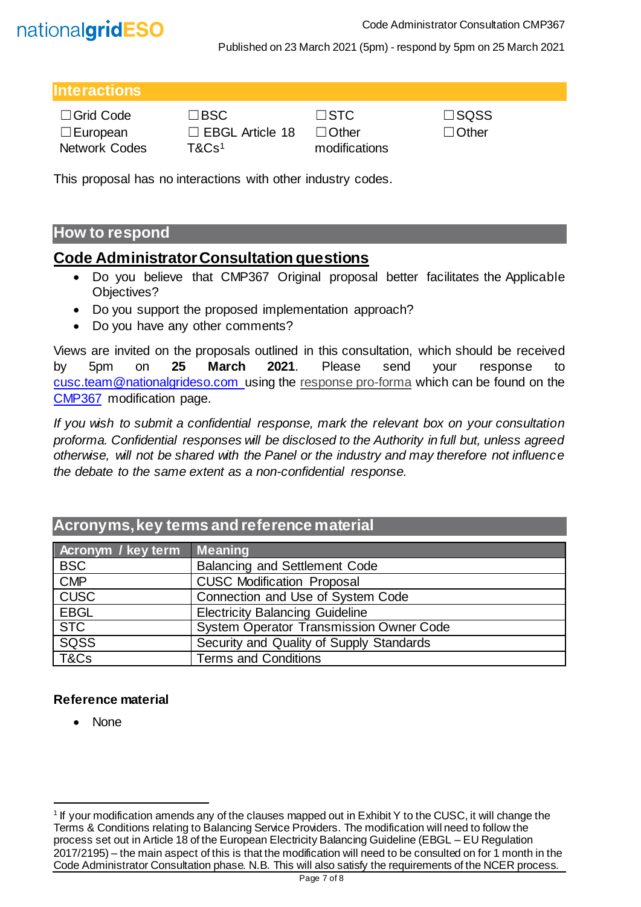

#### <span id="page-6-1"></span>**Interactions**

| $\Box$ Grid Code | $\square$ BSC          | $\Box$ STC    | $\square$ SQSS |
|------------------|------------------------|---------------|----------------|
| $\Box$ European  | $\Box$ EBGL Article 18 | $\Box$ Other  | $\Box$ Other   |
| Network Codes    | $T\&C$ s $^1$          | modifications |                |

□ EBGL Article 18

| ∃SQSS  |
|--------|
| ⊥Other |

This proposal has no interactions with other industry codes.

## <span id="page-6-2"></span>**How to respond**

## <span id="page-6-0"></span>**Code Administrator Consultation questions**

- Do you believe that CMP367 Original proposal better facilitates the Applicable Objectives?
- Do you support the proposed implementation approach?
- Do you have any other comments?

Views are invited on the proposals outlined in this consultation, which should be received by 5pm on **25 March 2021**. Please send your response to [cusc.team@nationalgrideso.com](mailto:cusc.team@nationalgrideso.com) using the [response pro-forma](https://www.nationalgrideso.com/document/188786/download) which can be found on the [CMP367](https://www.nationalgrideso.com/industry-information/codes/connection-and-use-system-code-cusc-old/modifications/cmp367-urgent) modification page.

*If you wish to submit a confidential response, mark the relevant box on your consultation proforma. Confidential responses will be disclosed to the Authority in full but, unless agreed otherwise, will not be shared with the Panel or the industry and may therefore not influence the debate to the same extent as a non-confidential response.*

## <span id="page-6-3"></span>**Acronyms, key terms and reference material**

| Acronym / key term | <b>Meaning</b>                                 |
|--------------------|------------------------------------------------|
| <b>BSC</b>         | <b>Balancing and Settlement Code</b>           |
| CMP                | <b>CUSC Modification Proposal</b>              |
| <b>CUSC</b>        | Connection and Use of System Code              |
| <b>EBGL</b>        | <b>Electricity Balancing Guideline</b>         |
| <b>STC</b>         | <b>System Operator Transmission Owner Code</b> |
| SQSS               | Security and Quality of Supply Standards       |
| T&Cs               | <b>Terms and Conditions</b>                    |

#### <span id="page-6-4"></span>**Reference material**

• None

l

<sup>&</sup>lt;sup>1</sup> If your modification amends any of the clauses mapped out in Exhibit Y to the CUSC, it will change the Terms & Conditions relating to Balancing Service Providers. The modification will need to follow the process set out in Article 18 of the European Electricity Balancing Guideline (EBGL – EU Regulation 2017/2195) – the main aspect of this is that the modification will need to be consulted on for 1 month in the Code Administrator Consultation phase. N.B. This will also satisfy the requirements of the NCER process.